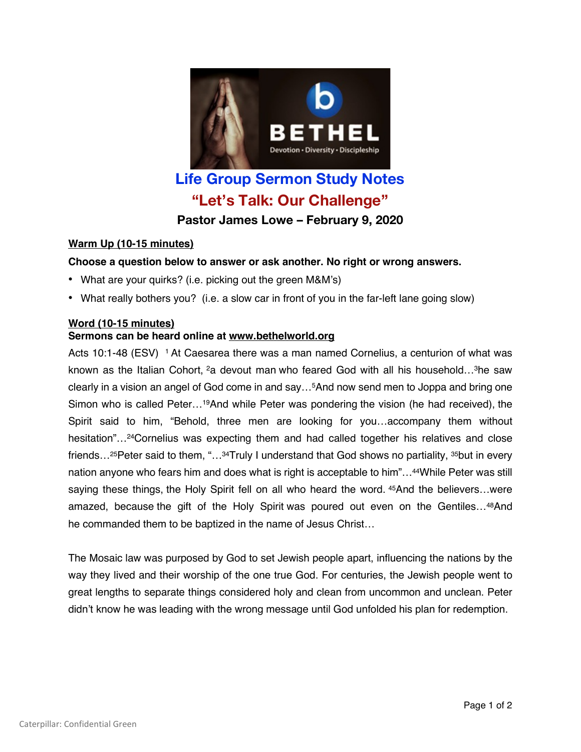

# **Life Group Sermon Study Notes "Let's Talk: Our Challenge" Pastor James Lowe – February 9, 2020**

### **Warm Up (10-15 minutes)**

# **Choose a question below to answer or ask another. No right or wrong answers.**

- What are your quirks? (i.e. picking out the green M&M's)
- What really bothers you? (i.e. a slow car in front of you in the far-left lane going slow)

### **Word (10-15 minutes) Sermons can be heard online at www.bethelworld.org**

Acts 10:1-48 (ESV) <sup>1</sup> At Caesarea there was a man named Cornelius, a centurion of what was known as the Italian Cohort, <sup>2</sup>a devout man who feared God with all his household...<sup>3</sup>he saw clearly in a vision an angel of God come in and say…5And now send men to Joppa and bring one Simon who is called Peter…19And while Peter was pondering the vision (he had received), the Spirit said to him, "Behold, three men are looking for you…accompany them without hesitation"...<sup>24</sup>Cornelius was expecting them and had called together his relatives and close friends…25Peter said to them, "…34Truly I understand that God shows no partiality, 35but in every nation anyone who fears him and does what is right is acceptable to him"…44While Peter was still saying these things, the Holy Spirit fell on all who heard the word. 45And the believers…were amazed, because the gift of the Holy Spirit was poured out even on the Gentiles…48And he commanded them to be baptized in the name of Jesus Christ…

The Mosaic law was purposed by God to set Jewish people apart, influencing the nations by the way they lived and their worship of the one true God. For centuries, the Jewish people went to great lengths to separate things considered holy and clean from uncommon and unclean. Peter didn't know he was leading with the wrong message until God unfolded his plan for redemption.